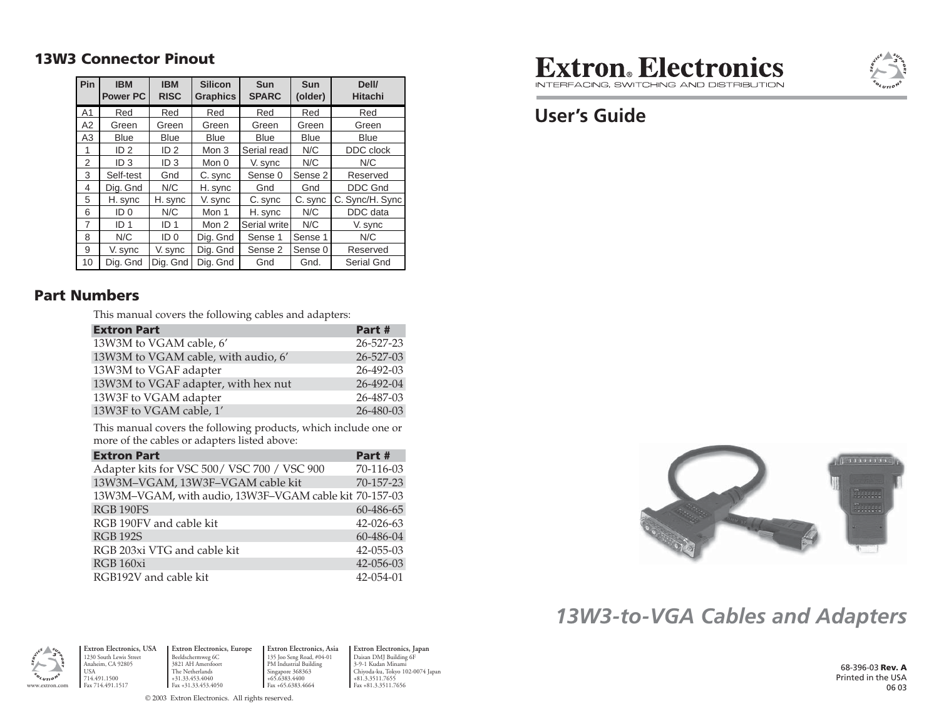#### **13W3 Connector Pinout**

| Pin            | <b>IBM</b><br><b>Power PC</b> | <b>IBM</b><br><b>RISC</b> | <b>Silicon</b><br><b>Graphics</b> | <b>Sun</b><br><b>SPARC</b> | <b>Sun</b><br>(older) | Dell/<br><b>Hitachi</b> |
|----------------|-------------------------------|---------------------------|-----------------------------------|----------------------------|-----------------------|-------------------------|
| A <sub>1</sub> | Red                           | Red                       | Red                               | Red                        | Red                   | Red                     |
| A2             | Green                         | Green                     | Green                             | Green                      | Green                 | Green                   |
| A3             | <b>Blue</b>                   | <b>Blue</b>               | Blue                              | <b>Blue</b>                | <b>Blue</b>           | <b>Blue</b>             |
| 1              | ID <sub>2</sub>               | ID <sub>2</sub>           | Mon 3                             | Serial read                | N/C                   | DDC clock               |
| 2              | ID <sub>3</sub>               | ID <sub>3</sub>           | Mon 0                             | V. sync                    | N/C                   | N/C                     |
| 3              | Self-test                     | Gnd                       | C. sync                           | Sense 0                    | Sense 2               | Reserved                |
| 4              | Dig. Gnd                      | N/C                       | H. sync                           | Gnd                        | Gnd                   | <b>DDC Gnd</b>          |
| 5              | H. sync                       | H. sync                   | V. sync                           | C. sync                    | C. sync               | C. Sync/H. Sync         |
| 6              | ID <sub>0</sub>               | N/C                       | Mon 1                             | H. sync                    | N/C                   | DDC data                |
| $\overline{7}$ | ID <sub>1</sub>               | ID <sub>1</sub>           | Mon 2                             | Serial write               | N/C                   | V. sync                 |
| 8              | N/C                           | ID <sub>0</sub>           | Dig. Gnd                          | Sense 1                    | Sense 1               | N/C                     |
| 9              | V. sync                       | V. sync                   | Dig. Gnd                          | Sense 2                    | Sense 0               | Reserved                |
| 10             | Dig. Gnd                      | Dig. Gnd                  | Dig. Gnd                          | Gnd                        | Gnd.                  | Serial Gnd              |

#### **Part Numbers**

This manual covers the following cables and adapters:

| <b>Extron Part</b>                  | Part #    |
|-------------------------------------|-----------|
| 13W3M to VGAM cable, 6'             | 26-527-23 |
| 13W3M to VGAM cable, with audio, 6' | 26-527-03 |
| 13W3M to VGAF adapter               | 26-492-03 |
| 13W3M to VGAF adapter, with hex nut | 26-492-04 |
| 13W3F to VGAM adapter               | 26-487-03 |
| 13W3F to VGAM cable, 1'             | 26-480-03 |

This manual covers the following products, which include one or more of the cables or adapters listed above:

| <b>Extron Part</b>                                     | Part #          |
|--------------------------------------------------------|-----------------|
| Adapter kits for VSC 500/VSC 700 / VSC 900             | 70-116-03       |
| 13W3M-VGAM, 13W3F-VGAM cable kit                       | 70-157-23       |
| 13W3M-VGAM, with audio, 13W3F-VGAM cable kit 70-157-03 |                 |
| <b>RGB 190FS</b>                                       | 60-486-65       |
| RGB 190FV and cable kit                                | 42-026-63       |
| <b>RGB 192S</b>                                        | 60-486-04       |
| RGB 203xi VTG and cable kit                            | $42 - 055 - 03$ |
| RGB <sub>160xi</sub>                                   | 42-056-03       |
| RGB192V and cable kit                                  | 42-054-01       |



INTEREACING SWITCHING AND DISTRIBLITION

## **User's Guide**



# *13W3-to-VGA Cables and Adapters*

www.extron.com

USA714.491.1500

**Extron Electronics, USA** 1230 South Lewis Street Anaheim, CA 92805 Fax 714.491.1517**Extron Electronics, Europe** Beeldschermweg 6C 3821 AH Amersfoort The Netherlands +31.33.453.4040 **Fax** +81.3.3511.7656 **Fax** +81.3.3511.7656 **Fax** +31.33.453.4050 **Fax** +65.6383.4664 **Fax** +81.3.3511.7656

**Extron Electronics, Asia** 135 Joo Seng Road, #04-01 PM Industrial Building Singapore 368363 +65.6383.4400 Fax +65.6383.4664

**Extron Electronics, Japan** Daisan DMJ Building 6F 3-9-1 Kudan Minami Chiyoda-ku, Tokyo 102-0074 Japan  $+81.3.3511.7655$ <br>Fax  $+81.3.3511.7656$ 

68-396-03 **Rev. A** Printed in the USA 06 03